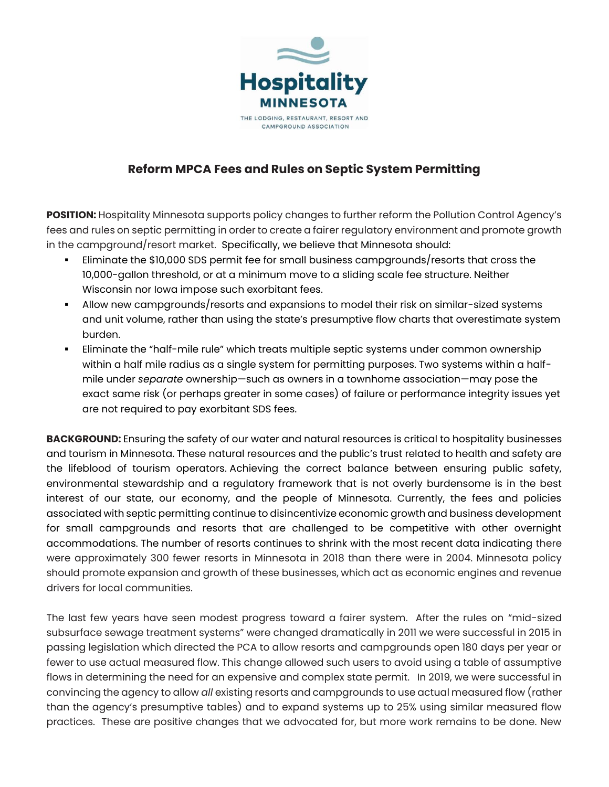

## **Reform MPCA Fees and Rules on Septic System Permitting**

**POSITION:** Hospitality Minnesota supports policy changes to further reform the Pollution Control Agency's fees and rules on septic permitting in order to create a fairer regulatory environment and promote growth in the campground/resort market. Specifically, we believe that Minnesota should:

- Eliminate the \$10,000 SDS permit fee for small business campgrounds/resorts that cross the 10,000-gallon threshold, or at a minimum move to a sliding scale fee structure. Neither Wisconsin nor Iowa impose such exorbitant fees.
- Allow new campgrounds/resorts and expansions to model their risk on similar-sized systems and unit volume, rather than using the state's presumptive flow charts that overestimate system burden.
- Eliminate the "half-mile rule" which treats multiple septic systems under common ownership within a half mile radius as a single system for permitting purposes. Two systems within a halfmile under *separate* ownership—such as owners in a townhome association—may pose the exact same risk (or perhaps greater in some cases) of failure or performance integrity issues yet are not required to pay exorbitant SDS fees.

**BACKGROUND:** Ensuring the safety of our water and natural resources is critical to hospitality businesses and tourism in Minnesota. These natural resources and the public's trust related to health and safety are the lifeblood of tourism operators. Achieving the correct balance between ensuring public safety, environmental stewardship and a regulatory framework that is not overly burdensome is in the best interest of our state, our economy, and the people of Minnesota. Currently, the fees and policies associated with septic permitting continue to disincentivize economic growth and business development for small campgrounds and resorts that are challenged to be competitive with other overnight accommodations. The number of resorts continues to shrink with the most recent data indicating there were approximately 300 fewer resorts in Minnesota in 2018 than there were in 2004. Minnesota policy should promote expansion and growth of these businesses, which act as economic engines and revenue drivers for local communities.

The last few years have seen modest progress toward a fairer system. After the rules on "mid-sized subsurface sewage treatment systems" were changed dramatically in 2011 we were successful in 2015 in passing legislation which directed the PCA to allow resorts and campgrounds open 180 days per year or fewer to use actual measured flow. This change allowed such users to avoid using a table of assumptive flows in determining the need for an expensive and complex state permit. In 2019, we were successful in convincing the agency to allow *all* existing resorts and campgrounds to use actual measured flow (rather than the agency's presumptive tables) and to expand systems up to 25% using similar measured flow practices. These are positive changes that we advocated for, but more work remains to be done. New